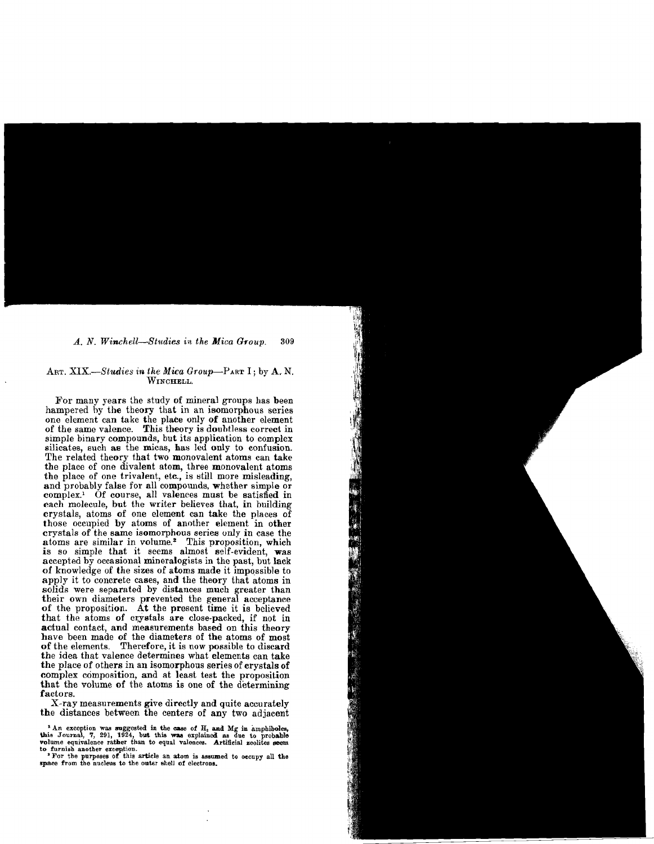### *A. N. Winchell-Btlldies in the Mica Group. 309*

### ART. *XIX,-Studies in the Mica Group-PART* I; by A. N. WINCHELL.

For many years the study of mineral groups has been hampered by the theory that in an isomorphous series one element can take the place only of another element of the same valence. This theory is doubtless correct in simple binary compounds, but its application to complex silicates, such as the micas, has led only to confusion. The related theory that two monovalent atoms can take the place of one divalent atom, three monovalent atoms the place of one trivalent, etc., is still more misleading, and probably false for all compounds, whether simple or complex.<sup>1</sup> Of course, all valences must be satisfied in each molecule, but the writer believes that, in building crystals, atoms of one element can take the places of those occupied by atoms of another element in other crystals of the same isomorphous series unly in case the atoms are similar in volume.<sup>2</sup> This proposition, which is so simple that it seems almost self-evident, was accepted by occasional mineralogists in the past, but lack of knowledge of the sizes of atoms made it impossible to apply it to concrete cases, and the theory that atoms in solids were separated by distances much greater than their own diameters prevented the general acceptance of the proposition. At the present time it is believed that the atoms of crystals are close-packed, if not in actual contact, and measurements based on this theory have been made of the diameters of the atoms of most of the elements. Therefore, it is now possible to discard the idea that valence determines what elements can take the place of others in an isomorphous series of crystals of complex composition, and at least test the proposition that the volume of the atoms is one of the determining factors.

X-ray measurements give directly and quite accurately the distances between the centers of any two adjacent

<sup>1</sup> An exception was suggested in the case of  $H<sub>2</sub>$  and Mg in amphiboles, this Journal, 7, 291, 1924, but this was explained as due to probable volume equivalence rather than to equal valences. Artificial zeolites seem<br>to furnish another exception.<br>"For the purposes of this article an atom is assumed to occupy all the<br>space from the nucleus to the outer shell of e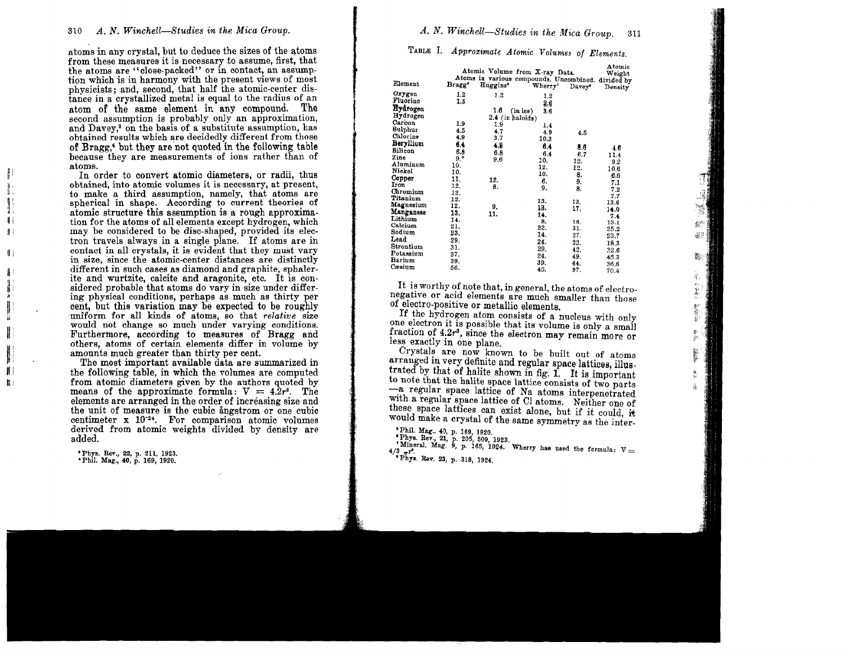atoms in any crystal, but to deduce the sizes of the atoms from these measures it is necessary to assume, first, that the atoms are "close-packed" or in contact, an assumption which is in harmony with the present views of most physicists; and, second, that half the atomic-center distance in a crystallized metal is equal to the radius of an atom of the same element in any compound. The second assumption is probably only an approximation, and Davey<sup>3</sup> on the basis of a substitute assumption, has obtained results which are decidedly different from those of Bragg,<sup>4</sup> but they are not quoted in the following table because they are measurements of ions rather than of atoms.

In order to convert atomic diameters, or radii, thus obtained, into atomic volumes it is necessary, at present, to make a third assumption, namely, that atoms are spherical in shape. According to current theories of atomic structure this assumption is a rough approximation for the atoms of all elements except hydrogen, which may be considered to be disc-shaped, provided its electron travels always in a single plane. If atoms are in contact in all crystals, it is evident that they must vary in size, since the atomic-center distances are distinctly different in such cases as diamond and graphite, sphalerite and wurtzite, calcite and aragonite, etc. It is considered probable that atoms do vary in size under differing physical conditions, perhaps as much as thirty per cent, but this variation may be expected to be roughly uniform for all kinds of atoms, so that *relative* size would not change so much under varying conditions. Furthermore, according to measures of Bragg and others, atoms of certain elements differ in volume by amounts much greater than thirty per cent.

The most important available data are summarized in the following table, in which the volumes are computed from atomic diameters given by the authors quoted by means of the approximate formula:  $V = 4.2r^3$ . The elements are arranged in the order of increasing size and the unit of measure is the cubic angestrom or one cubic centimeter x 10<sup>-24</sup>. For comparison atomic volumes derived from atomic weights divided by density are added.

\* Phys. Rev., 22, p. 211, 1923. 'Phil. Mag., 40, p. 169, 1920.

 $\mathbb{I}$ 

 $\begin{array}{c} \hline \end{array}$ 

 $\mathbf{1}$ 

 $\parallel$ 

 $\parallel$ 

 $\mathbf{1}$ 

 $\frac{3}{2}$ 

 $\mathbb I$ 

H

H

 $\mathbf{B}$ 

## A. N. Winchell-Studies in the Mica Group. 311

TABLE I. Approximate Atomic Volumes of Elements.

| Element   | Bragg <sup>s</sup> | Huggins <sup>®</sup> | Atomic Volume from X-ray Data.<br>Atoms in various compounds. Uncombined. divided by<br>Wherry' | $_{\text{Davey}}$ | Atomic<br>Weight<br>Density |
|-----------|--------------------|----------------------|-------------------------------------------------------------------------------------------------|-------------------|-----------------------------|
| Oxygen    | 1.2                | 1.2                  | 1,2                                                                                             |                   |                             |
| Fluorine  | 1,3                |                      | 2,6                                                                                             |                   |                             |
| Hydrogen  |                    | 1.6                  | 3.6<br>(inice)                                                                                  |                   |                             |
| Hydrogen  |                    |                      | $2.4$ (in haloids)                                                                              |                   |                             |
| Carbon    | 1.9                | 1.9                  | 1.4                                                                                             |                   |                             |
| Sulphur   | 4.5                | 4.7                  | 4.9                                                                                             | 4.5               |                             |
| Chlorine  | 4.9                | 3.7                  | 10.3                                                                                            |                   |                             |
| Beryllium | 6.4                | 4.9                  | 6.4                                                                                             | 8.6               |                             |
| Silicon   | 6.8                | 6.8                  | 6.4                                                                                             | 6.7               | 4.6                         |
| Zinc      | 9.7                | 9.6                  | 10.                                                                                             | 12.               | 11.4                        |
| Aluminum  | 10.                |                      | 12.                                                                                             | 12.               | 9.2                         |
| Nickel    | 10.                |                      | 10.                                                                                             | 8.                | 10.6                        |
| Copper    | 11.                | 12.                  | 6.                                                                                              | 9.                | 6.6                         |
| Iron      | 12.                | 8.                   | 9,                                                                                              | 8.                | 7.1                         |
| Chromium  | 12.                |                      |                                                                                                 |                   | 7.2                         |
| Titanium  | 12.                |                      | 13.                                                                                             | 13.               | 7.7<br>13.6                 |
| Magnesium | 12.                | 9.                   | 13.                                                                                             | 17.               | 14.0                        |
| Manganese | 13.                | 11.                  | 14.                                                                                             |                   | 7.4                         |
| Lithium   | 14.                |                      | 8.                                                                                              | 16.               | 13.1                        |
| Calcium   | 21.                |                      | 22.                                                                                             | 31.               | 25.2                        |
| Sodium    | 23.                |                      | 14.                                                                                             | 27.               | 23.7                        |
| Lead      | 29.                |                      | 24.                                                                                             | 22.               | 18.3                        |
| Strontium | 31.                |                      | 29.                                                                                             | 42.               | 32.6                        |
| Potassium | 37.                |                      | 24.                                                                                             | 49.               | 45.3                        |
| Barium    | 39.                |                      | 39.                                                                                             | 64.               | 36.6                        |
| Cæsium    | 56.                |                      | 45.                                                                                             | 97.               | 70.4                        |

It is worthy of note that, in general, the atoms of electronegative or acid elements are much smaller than those of electro-positive or metallic elements.

蠹

Ŕ.

If the hydrogen atom consists of a nucleus with only one electron it is possible that its volume is only a small fraction of  $4.2r^3$ , since the electron may remain more or less exactly in one plane.

Crystals are now known to be built out of atoms arranged in very definite and regular space lattices, illustrated by that of halite shown in fig. 1. It is important to note that the halite space lattice consists of two parts -a regular space lattice of Na atoms interpenetrated with a regular space lattice of Cl atoms. Neither one of these space lattices can exist alone, but if it could, it would make a crystal of the same symmetry as the inter-

<sup>6</sup> Phil. Mag., 40, p. 169, 1920.

"Phys. Rev., 21, p. 205, 509, 1923.<br>"Mineral, Mag. 9, p. 165, 1924. Wherry has used the formula:  $V =$  $4/3$   $\pi^2$ . \* Phys. Rev. 23, p. 318, 1924.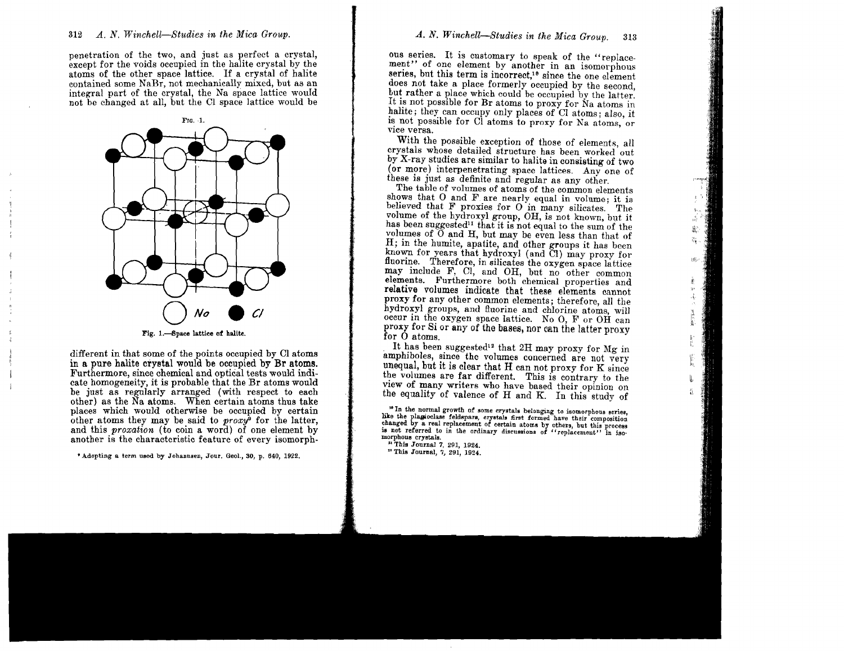penetration of the two, and just as perfect a crystal, except for the voids occupied in the halite crystal by the atoms of the other space lattice. If <sup>a</sup> crystal of halite integral part of the crystal, the Na space lattice would not be changed at all, but the Cl space lattice would be



Fig. 1.-Space lattice of halite.

different in that some of the points occupied by Cl atoms in a pure halite crystal would be occupied by **Br** atoms. Furthermore, since chemical and optical tests would indicate homogeneity, it is probable that the Br atoms would be just as regularly arranged (with respect to each other) as the Na atoms. When certain atoms thus take places which would otherwise be occupied by certain other atoms they may be said to *proxy9* for the latter, and this *proxation* (to coin a word) of one element by another is the characteristic feature of every isomorph-

\* Adopting a term used by Johannsen, Jour. Geol., 30, p. 640, 1922.

# *A. N. Winchell-Studies in the Mica Group.* 313

ous series. It is customary to speak of the "replacement" of one element by another in an isomorphous series, but this term is incorrect.<sup>10</sup> since the one element does not take a place formerly occupied by the second, but rather a place which could be occupied by the latter. It is not possible for Br atoms to proxy for Na atoms in halite; they can occupy only places of Cl atoms; also, it is not possible for Cl atoms to proxy for Na atoms, or vice versa.

With the possible exception of those of elements, all crystals whose detailed structure has been worked out by X-ray studies are similar to halite in consisting of two (or more) interpenetrating space lattices. Any one of these is just as definite and regular as any other.

The table of volumes of atoms of the common elements shows that 0 and F are nearly equal in volume; it is believed that F proxies for 0 in many silicates. The volume of the hydroxyl group, OH, is not known, but it has been suggested<sup>11</sup> that it is not equal to the sum of the volumes of 0 and H, but may be even less than that of H; in the humite, apatite, and other groups it has been known for years that hydroxyl (and Cl) may proxy for fluorine. Therefore, in silicates the oxygen space lattice may include F. Cl. and OH, but no other common elements. Furthermore both chemical properties and relative volumes indicate that these elements cannot proxy for any other common elements; therefore, all the hydroxyl groups, and fluorine and chlorine atoms, will occur in the oxygen space lattice. No O, F or OH can proxy for Si or any of the bases, nor can the latter proxy for O atoms.

廊

It has been suggested<sup>12</sup> that  $2H$  may proxy for Mg in amphiboles, since the volumes concerned are not very unequal, but it is clear that H can not proxy for K since the volumes are far different. This is contrary to the view of many writers who have based their opinion on the equality of valence of H and K. In this study of

<sup>10</sup> In the normal growth of some crystals belonging to isomorphous series, like the plagioclase feldspars, crystals first formed have their composition changed by a real replacement of certain atoms by others, but this process is not referred to in the ordinary discussions of "replacement" in isomorphons crystals.

n This Journal 7, 291, 1924. " This Journal, 7, 291, 1924.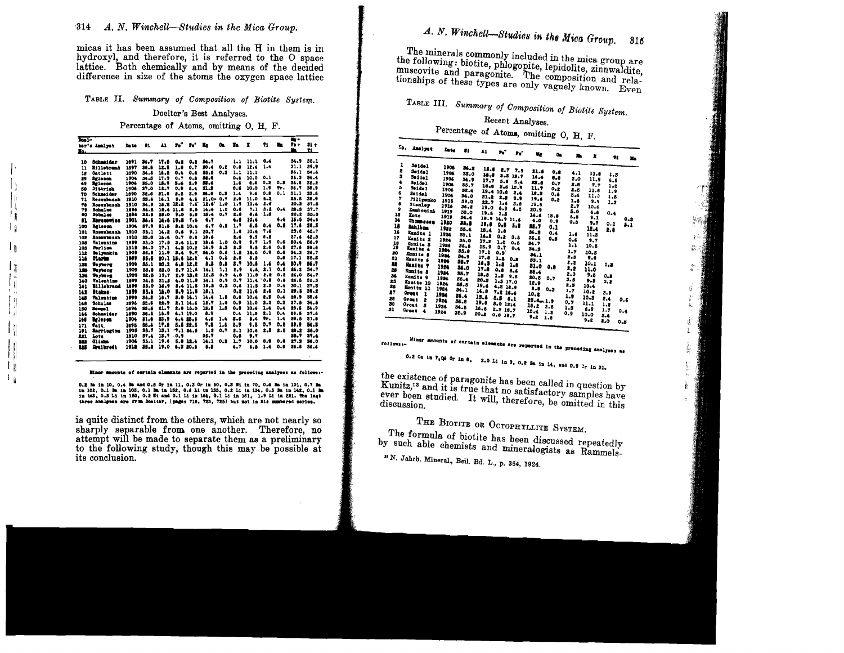micas it has been assumed that all the H in them is in hydroxyl, and therefore, it is referred to the O space lattice. Both chemically and by means of the decided difference in size of the atoms the oxygen space lattice

TABLE II. Summary of Composition of Biotite System.

Doelter's Best Analyses.

Percentage of Atoms, omitting O, H, F.

| bai- |                   |             |       |      |                |           |          |      |         |      |     |      | $m +$ |             |
|------|-------------------|-------------|-------|------|----------------|-----------|----------|------|---------|------|-----|------|-------|-------------|
|      | ter's Amalyst     | <b>Date</b> | 81    | 41   | $\mathbf{r}_0$ | 'n.       | Xх       | û.   | Ŀ       | x    | 21  | n.   | $P +$ | $31 +$      |
| Iq.  |                   |             |       |      |                |           |          |      |         |      |     |      | n.    | n           |
| 10   | Sehmet da r       | 1891        | 34.7  | 17.6 | 0.8            | 0.2       | 84.7     |      | 1.1     | 11.1 | 0.4 |      | 34.9  | 35.1        |
| 11   | <b>Etlichrand</b> | 1897        | 38.8  | 12.1 | 1.8            | 0.7       | 30.4     | 0.2  | 0.8     | 12.4 | 1.4 |      | 31.1  | 59.9        |
| 12   | <b>Carlett</b>    | 1890        | 34.5  | 16.5 | 0.4            | 0.6       | 85.5     | 0.3  | 1.1     | 11.1 |     |      | 36.1  | 34.6        |
| 29   | <b>Belonce</b>    | 1904        | 54.5  | 17.7 | 0.7            | 0.8       | 36.0     |      | $0 - 6$ | 10.0 | 0.1 |      | 36.5  | 84.4        |
| 49   | <b>Brieron</b>    | 1904        | 35.0  | 15.9 | 5.6            | 2.9       | 33.6     |      | 1.6     | 0.8  | 0.2 | 0.5  | 36.1  | 35.2        |
| 60   | Dittrick          | 1906        | 37.0  | 12.7 | 0.9            | 5.4       | 11.1     |      | 0.5     | 10.0 | 1.9 | tr.  | 36.7  | 58.9        |
| 70   | Schnol der        | 1890        | 32.6  | 21.6 | 2.2            | \$.9      | 25.0     | 0.3  | 1.4     | 9.4  | 0.8 | 0.1  | 31.1  | 33.6        |
| 91   | Rosenbusch        | 1910        | 53.4  | 36.1 | 5.0            | 4.5       | $21.0 -$ | 0.7  | 7.0     | 11.0 | 5.2 |      | 25.5  | 38.9        |
| 78   | Rosenbusch        | 1910        | 34.9  | 15.3 | 12.2           | 7.6       | 12.6'    | 1.0  | 1.9     | 10.4 | 2.6 |      | 20.2  | 37.6        |
| 79   | Sabulse           | 1896        | 54.5  |      | 18.4 11.6      | t.5       | 14.4     | 1.0  | 0.8     | 7.1  | 3.2 | 0.4  | 25.5  | 57.7        |
| 80   | Schulze           | 1896        | 32.5  | 25.0 | 9.0            | $\bullet$ | 18.4     | 0.7  | 2.6     | 8.6  | 1.8 |      | 20.2  | 55.8        |
| n    | llave nowi an     | 1901        | 24. S |      | 14.4 19.5      | 7.6       | 4,7      |      | 4.6     | 10.6 |     |      | 16.5  | 34.6        |
| 100  | <b>Letter</b>     | 1904        | 87.9  | 31.5 | 2.2            | 10.4      | 6.7      | ٤.٥  | 1.9     |      | 0.4 | 0. B | 17.4  | <b>38.S</b> |
| 101  | <b>Rosenbunch</b> | 1910        | 33.1  | 14.2 | 0.6            | 9.1       | 20.7     |      | 1.0     | 10.4 | 7.6 |      | 29.0  | 42.7        |
| 102  | Rosenbasch        | 1910        | 33.6  | 16.4 | 0.7            | $B - B$   | 19.6     |      | 2,6     | 9.9  | 8.6 |      | 27.4  | 42.3        |
| 105  | Valentine         | 1699        | 35.0  | 17.5 |                | 5.4 11.2  | 19.6     | 1.0  | 0.9     | 9.7  | 1.9 | 0.6  | 80.4  | 56.9        |
| 108  | Parlies           | 1918        | 34.0  | 17.1 |                | 4.2 10.2  | 16.9     | 2.3  | 2.5     | 9.5  | 2.6 | 0.5  | 27.6  | 56.6        |
| 112  | <b>In Lynnkin</b> | 1909        | 35.9  | 11.9 | 8.4            | $9 - 7$ . | 24.0     | 0.6  | 1.2     | 12.0 | 0.9 | 0.8  | 34.2  | 34.7        |
| 116  | <b>Clarm</b>      | 1889        | 85.5  |      | 20.1 15.6 12.2 |           | 4.1      | 0. L | 2.6     | 8.8  |     | 0.8  | 17.1  | 85.8        |
| 132  | To shore          | 1909        | 85.1  | 10.1 |                | 4.1 12.2  | 1.1      | 6.A  | 8.7     | 10.8 | 1.4 | 6.4  | 20.P  | 16.7        |
| 185  | Teyborg           | 1909        | 35.8  | 23.0 |                | 5.7 11.6  | 14.1     | 1.1  | 2.9     | 4.8. | 2.1 | 0.8  | 26.2  | 54.7        |
| 134  | <b>Toylette</b>   | 1909        | 22.5  | 19.7 |                | 2.9 18.2  | 12.3     | 0.9  | 4.0     | 11.0 | 2.2 | 0.8  | 26.0  | 34.7        |
| 140  | Valentine         | 1899        | 34.5  | 21,3 |                | 4.0 11.0  | 14.1     | 0.9  | o. T    | 11.4 | 0.0 | 0.6  | 26.5  | 35.3        |
| 141  | <b>Billebrand</b> | 1899        | 35.0  | 14.9 |                | 8.4 11.5  | 18.2     | 0,2  | 0.6     | 11.5 | 2.5 | 0.4  | 30.1  | 57.5        |
| 142  | States:           | 1899        | 35.6  | 18.0 | 1.1            | 11.5      | 19.1     |      | 0.8     | 11.6 | 1.6 | 0.1  | 29.5  | 30.3        |
| 148  | Valuation         | 1899        | 36.8  | 16.7 | 8.0            | 14.1      | 14.4     | 1.5  | 0.8     | 10.4 | 2.3 | 0.4  | 28.9  | 38.6        |
| 148  | Schulze           | 1896        | 22.3  | 22.9 |                | 2.1 14.6  | 12.7     | 1.0  | 0.9     | 11.0 | 2.2 | 0.2  | 27.6  | 54.5        |
| 150  | <b>Bearne</b> 1   | 1896        | 33.5  | 21.7 |                | 2.0 15.0  | 18.2     | 1.8  | 0.8     | 10.4 | 1.4 | 0.4  | 28.6  | 54.9        |
| 166  | Schneider         | 1890        | 38.5  | 15.9 |                | 6.1 19.0  | 8.9      |      | 0.4     | 11.5 | 2.1 | 0.4  | 28.5  | 37.6        |
| 146  | latum             | 1904        | 31.6  | 25.9 |                | 4.4 23.5  | 4,6      | 1.4  | 5.6     | 5.4  | ÷.  | 1.4  | 29.5  | 31.8        |
| 171  | Wait.             | 1895        | 33.4  | 17.2 |                | 5.8 12.5  | ٠.,      | 1.6  | 5.9     | 9.6  | 0.7 | 0.E  | 19.9  | 64. B       |
| 181  | <b>Earrington</b> | 1906        | 35.7  | 13.1 | 7.1 M.5        |           | 1.2      | ۰.۴  | 2.1     | 10.6 | 2.8 | 2.5  | 28.2  | 58.0        |
| 221  | <b>Lots</b>       | 1910        | 37.4  | 15.7 | .0.9           |           | 35.7     |      | 0.6     | 5.7  |     |      | 28.7  | 37.6        |
| 222  | 011mm             | 1904        | 35.1  | 19.6 |                | 5.011.4   | 14.1     | 0.2  | 1.7     | 10.0 | 0.9 | 0.8  | 27.3  | 36.0        |
|      | <b>Draibroit</b>  | 1918        | 11.2  | 19.0 |                | 6.3 20.5  | 5.5      |      | 6.7     | t. 5 | 1.4 | 0.8  | 26.8  | 36.6        |
| 223  |                   |             |       |      |                |           |          |      |         |      |     |      |       |             |

conts of certain elements are reported in the preceding analyses as follows:

0.2 Ba in 10, 0.4 Ba and d. 6 Or in 11, 0.3 Or in 50, 0.3 Bi in 70, 0.6 Ba in 101, 0.7 Ba in 102, 0.1 Ba in 103, 0.1 Ba in 122, 0.6 Li in 133, 0.2 Li in 134, 0.5 Ba in 142, 0.1 Ba in 153, 0.4 Li in 154, 0.1 Ba in 142, 0.1

is quite distinct from the others, which are not nearly so sharply separable from one another. Therefore, no attempt will be made to separate them as a preliminary to the following study, though this may be possible at its conclusion.

### A. N. Winchell-Studies in the Mica Group. 815

The minerals commonly included in the mica group are the following: biotite, phlogopite, lepidolite, zinnwaldite, muscovite and paragonite. The composition and relationships of these types are only vaguely known. Even

TABLE III. Summary of Composition of Biotite System.

Recent Analyses.

Percentage of Atoms, omitting O. H. F.

| Χo. | Amalyat                   | Date: | 81    | 41             | 'n.      | $\mathbf{r}_0$ | Ng.          | Oa   | ж.   | k    |         | 21<br>X.     |
|-----|---------------------------|-------|-------|----------------|----------|----------------|--------------|------|------|------|---------|--------------|
| ı   | Seidel                    | 1906  | 34.2  |                |          |                |              |      |      |      |         |              |
| 2   | Seidel                    | 1906  | 33,0  | 15.4           | 2.7      | 7.9            | 21.5         | 0.8  | 4.1  | 11.0 |         |              |
| 3   | <b>Seidel</b>             | 1906  |       | 16.3           |          | 3.511.7        | 14.4         | 0.8  | 5.0  | 11.9 | 1.5     |              |
| ٠   | Seidel                    | 1906  | 34.9  | 17,7           | 5.0      | 5.4            | 23.0         | 0.7  | 2.0  |      | 4.6     |              |
| 5   | Seidel                    | 1906  | 55.7  | 16.6           |          | 3.6 13.9       | 11.7         | 0.2  | 2.5  | 7.7  | $1 - 2$ |              |
| 6   | Seidel                    | 1906  | 32.4  | 19.4 10.8      |          | 2.4            | 18.3         | 0.6  | 3,6  | 11.6 | 1.9     |              |
| 7   | Pilipenko                 | 1915  | 54.0  | 21.2           | $2 - 2$  | 9.9            | 19.6         | 0.2  | 1.6  | 11.0 | 1.6     |              |
| ٠   | Stanley                   | 2916  | 39.0  | 22.7           | 1.4      | 3.0            | 19.5         |      | 2.7  | 9.9  | 1.3     |              |
| 9   | Zambonini                 | 1919  | 36.8  | 19.0           | 6.9      | 4.5            | 20.9         |      | 5.0  | 10.6 |         |              |
| 13  | <b>Xoto</b>               | 1919  | 33.0  | 19.5           | 2.8      |                | 14.6         | 15.8 | 6.8  | 6.6  | 0.4     |              |
| 14  | <b>Chompsage</b>          | 1920  | 54.4  | 18.9 14.9 11.6 |          |                | 4.0          | 0.9  | 0.3  | 9.1  |         | 0.3          |
| 18  | صذئفة                     |       | 33, 5 | 19.6           | 0.5      | 5.8            | 11.7         | 0.1  |      | 9,7  | 0.1     | 5.1          |
| 16  | Eunits 1                  | 192z  | 35.4  | 18.4           | 1.0      |                | 86.3         | 0.4  |      | 12.4 | 2.8     |              |
| 17  | Kunits 2                  | 1924  | 30.1  | 14.2           | $0 - 2$  | 0.5            | 36.5         |      | 1.6  | 11.5 |         |              |
| 18  | Konits 3                  | 1924  | 35.0  | 17.2           | 1.0      | 0.5            | 34.7         | 0.3  | 0.6  | 1.7  |         |              |
| 19  | Eanits 4                  | 1924  | 36.5  | 15.9           | 0.7      | $0 - 4$        | 34.3         |      | 1.1  | 10.5 |         |              |
| 20  | Eunits 5                  | 7.924 | 35.8  | 17.1           | 0.9      |                | 34.1         |      | 1.7  | 10.5 |         |              |
| 21  | Annits 6                  | 1984  | 34.9  | 17.8           | 1.1      | 0.8            | 33.1         |      | 2.3  | 9.8  |         |              |
| 22  | <b>Maits</b> 7            | 1926  | 35.7  | $16.3 -$       | 1.1      | 1.0            |              |      | 2.2  | 10.1 | 0.3     |              |
| 23  |                           | 1924  | 24.0  | 17.1           | 0.8      | 5.6            | 81.0         | 0.8  | 2.2  | 11.0 |         |              |
| 24  | Runits 8                  | 1984  | 35.7  | 18.8           | 1.8      | 9.8            | 20.4         |      | 2,0  | 9,8  | 0.3     |              |
| 25  | Kunits 9                  | 1924  | 35.4  | 2048           | 1.517.0  |                | 20.5         | 0.7  | 3. 5 | 9.3  | 0.2     |              |
| 26  | Eanits 10                 | 1924  | 33.5  | 19.4           | 4.5 18.9 |                | 12.9         |      | 2.3  | 10.4 |         |              |
| 87  | Emaits 11                 | 1924  | 34.1  | 14,0           | 7.2 18.6 |                | 8.8          | 0.3  | 1,7  | 10.2 |         |              |
|     | Grout<br>1                | 1924  | 86.4  | 13.6           |          |                | 10.8         |      | 1.9  | 10.5 | 2.9     |              |
| 28  | Grout<br>2                | 1924  | 36.8  | 19.8           | 5.561    |                | $23.6 - 1.9$ |      | 0.7  |      | 2.4     | 0.6          |
| 30  | Grant<br>$\boldsymbol{s}$ | 1924  | 34.5  | 16.6           | 5.0 12.4 |                | 15.2         | 2.6  | 1.5  | 11.1 | 1.2     |              |
| 31  | Grout                     | 1924  | 35.9  | 20.2           | 2.2 10.7 |                | 13.4         | 1.2  | 0.9  | 6.9  | 1.7     | 0.4          |
|     |                           |       |       |                | 0.8 19.7 |                | 9.2          | 1.6  |      | 10.0 | 2.4     |              |
|     |                           |       |       |                |          |                |              |      |      | 9, 2 | 2.0     | $\mathbf{a}$ |

follows:

Minor amounts of cartain elements are reparted in the preceding analyses as

0.2 Ca in 7,04 Or in 8. 2.0 Li in 9, 0.2 Ba in 14, and 0.9 2r in 31.

the existence of paragonite has been called in question by Kunitz,<sup>13</sup> and it is true that no satisfactory samples have ever been studied. It will, therefore, be omitted in this

THE BIOTITE OR OCTOPHYLLITE SYSTEM. The formula of biotite has been discussed repeatedly

by such able chemists and mineralogists as Rammels-

<sup>13</sup> N. Jahrb. Mineral., Beil. Bd. L., p. 364, 1924.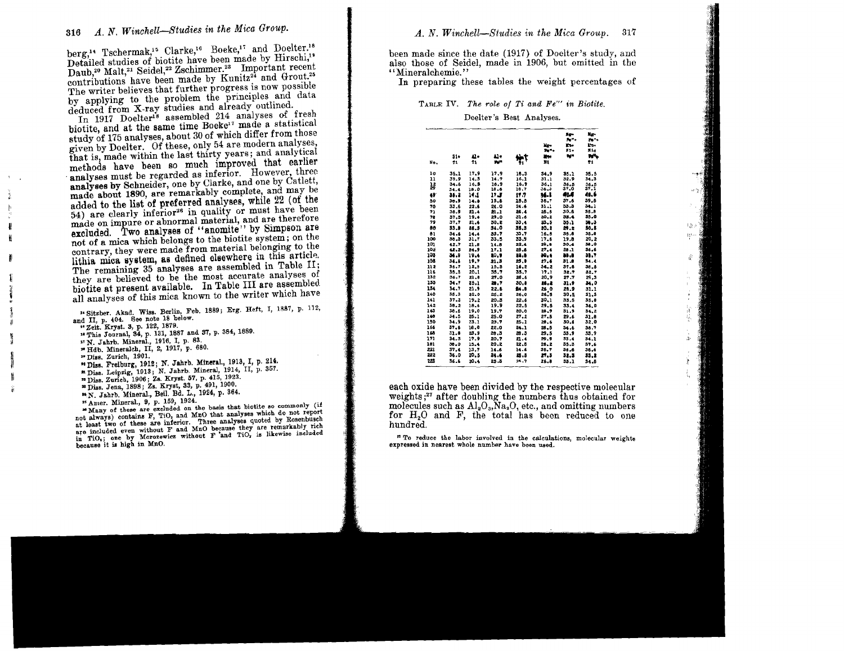berg,<sup>14</sup> Tschermak,<sup>15</sup> Clarke,<sup>16</sup> Boeke,<sup>17</sup> and Doelter.<sup>18</sup> Detailed studies of biotite have been made by Hirschi,<sup>19</sup> Daub,<sup>20</sup> Malt,<sup>21</sup> Seidel,<sup>22</sup> Zschimmer.<sup>23</sup> Important recent contributions have been made by Kunitz<sup>24</sup> and Grout.<sup>25</sup> The writer believes that further progress is now possible by applying to the problem the principles and data deduced from X-ray studies and already outlined.<br>In 1917 Doelter's assembled 214 analyses of fresh

In 1917 Doelter<sup>18</sup> assembled 214 analyses of fresh<br>biotite, and at the same time Boeke<sup>17</sup> made a statistical study of 175 analyses, about 30 of which differ from those given by Doelter. Of these, only 54 are modern analyses, that is, made within the last thirty years; and analytical analyses must be regarded as inferior. However, three analyses by Schneider, one by Clarke, and one by Catlett, made about 1890, are remarkably complete, and may be added to the list of preferred analyses, while 22 (of the  $54$ ) are clearly inferior<sup>26</sup> in quality or must have been made on impure or abnormal material, and are therefore excluded. Two analyses of "anomite" by Simpson are not of a mica which belongs to the biotite system; on the contrary, they were made from material belonging to the lithia mica system, as defined elsewhere in this article. The remaining 35 analyses are assembled in Table II; they are believed to be the most accurate analyses of biotite at present available. In Table III are assembled. all analyses of this mica known to the writer which have

- <sup>14</sup> Sitzber. Akad. Wiss. Berlin, Feb. 1889; Erg. Heft, I, 1887, p. 112, and II, p. 404. See note 18 below.
- <sup>16</sup> Zeit. Kryst. 3, p. 122, 1879.
- "This Journal, 34, p. 131, 1887 and 37, p. 384, 1889.
- <sup>17</sup> N. Jahrb. Mineral., 1916, I, p. 83.
- "Hdb. Mineraleh, II, 2, 1917, p. 680.
- ,. Diss. Zurich, 1901.
- to Dis•• Freiburg, 1912; N. Jshrb. Mlnera!., 1918, I, p. 214.
- n Diss. Leipzig, 1913; N. Jahrb. Mineral, 1914, II, p. 357.
- " Diss. Zurich, 1906; Zs. Kryst. 57, p. 415, 1923.
- \* Diss. Jena, 1898; Zs. Kryst, 33, p. 491, 1900.
- "N. Jahrb. Mineral., Bet!. Bd. L., 1924, p. 864.
- <sup>25</sup> Amer. Mineral., 9, p. 159, 1924.

 $\sum_{i=1}^{n}$  of these are excluded on the basis that biotite so commonly (if not always) contains  $F$ , TiO, and MnO that analyses which do not report<br>at least two of these are inferior. Three analyses quoted by Rosenbusch<br>are included even without  $F$  and MnO because they are remarkably rich<br>in Ti in TiO<sub>s</sub>; one by Morozewicz without F and TiO<sub>s</sub> is likewise included because it is high in MnO. been made since the date (1917) of Doelter's study and also those of Seidel, made in 1906, but omitted in the "Mineralchemie."

In preparing these tables the weight percentages of

TABLE IV. *The role of Ti and Fe'" in Biotite.*

Doelter's Best Analyses.

|     |          |      |            |      | Me+<br>$P_0$ | <b>Here</b><br>Arthur<br>in.<br>$\overline{11}$ | Er-<br>ren.<br>k n+<br>N14 |
|-----|----------|------|------------|------|--------------|-------------------------------------------------|----------------------------|
|     | $s_{1*}$ | 11.  | 41+        | N۳   | Mer          | tein.                                           | w.                         |
| No. | 71       | 11   | <b>WHY</b> | Ť1   | $\mathbf{H}$ |                                                 | 71                         |
| 10  | 35.1     | 17.9 | 17.9       | 16.3 | 54.9         | 35.1                                            | 35.5                       |
| 11  | 39.9     | 14.3 | 14.7       | 16.1 | 31.1         | 32.9                                            | 34.3                       |
| łŝ  | 34.6     | 16.8 | 16.9       | 16.9 | 36.1         | 36.5                                            | 36.5                       |
|     | 34.4     | 18.0 | 10.6       | 16.7 | 36.3         | 37.0                                            | 37.1                       |
| 49  | 35.2     | 14,1 | ז ונ       | 17.7 | M.I          | 464                                             | 41.6                       |
| 60  | 30.9     | 14.5 | 15.6       | 15.5 | 36.7         | 37.6                                            | 39.8                       |
| 70  | 33.6     | 22.6 | 24.0       | 24.6 | 31.1         | 33.3                                            | 34.1                       |
| 71  | 38.9     | 21.4 | $21 - 2$   | 25.4 | 25.5         | 30.6                                            | 35.8                       |
| 78  | 37.5     | 19.4 | 29.0       | 31.6 | 20.E         | 33.4                                            | 35.0                       |
| 79  | 37.7     | 21.6 | 30.2       | 33,4 | 25.5         | 35.1                                            | 59.3                       |
| 80  | 33.8     | 26.5 | 34.0       | 35.3 | 20.2         | 29.2                                            | 50.5                       |
| b1  | 34.6     | 14.4 | 33.7       | 33.7 | 16.5         | 35.6                                            | 35.6                       |
| 100 | 38.3     | 31.7 | 33.5       | 33.9 | 17.6         | 19.8                                            | 20.2                       |
| 101 | 42.7     | 21.8 | 14.8       | 22.4 | 29,8         | 30.4                                            | 38.0                       |
| 10g | 42.3     | 24.9 | 17.1       | 25.5 | 27.4         | 28.1                                            | 36,6                       |
| 103 | 36.0     | 19,4 | 80.9       | 4.44 | 30.4         | 35,8                                            | 55.7                       |
| 168 | 36.6     | 19.7 | 21.3       | 25.9 | 27.6         | 31.8                                            | 34.4                       |
| 222 | 36.7     | 12.0 | 15.5       | 16.2 | 34.2         | 37.6                                            | 38.5                       |
| 116 | 35.5     | 20.1 | 38.7       | 35.7 | 17.1         | 32.7                                            | 32.7                       |
| 132 | 36.7     | 21.0 | 27.0       | 26.6 | 20,9         | 27.7                                            | 29.3                       |
| 155 | 34.7     | 25.1 | 28.7       | 30.6 | 26.2         | 31.9                                            | 34.0                       |
| 134 | 34.7     | 21.9 | 22.6       | 84.0 | 26.0         | 28.9                                            | 31.1                       |
| 140 | 35.3     | 22.0 | 25.2       | 26.0 | 26.5         | 30.5                                            | 31.5                       |
| 141 | 57.3     | 19.2 | 20.5       | 22.6 | 30.1         | 33.5                                            | 35.8                       |
| 142 | 30.2     | 18.6 | 19.9       | 22.5 | 29.5         | 33.4                                            | 36,0                       |
| 143 | 38.6     | 19.0 | 19.7       | 0.05 | 28.9         | 31.3                                            | 34.2                       |
| 140 | 34.5     | 25.1 | 25.0       | 27.2 | 27.5         | 29.6                                            | 31.8                       |
| 150 | 34.9     | 23.1 | 23.7       | 25.1 | 20.6         | 30.6                                            | 32.0                       |
| 166 | 37.6     | 18.0 | 22.0       | 24.1 | 28.5         | 34.6                                            | 36.7                       |
| 168 | 31.8     | 23.9 | 28.3       | 28.3 | 29.5         | 33.9                                            | 33.9                       |
| 171 | 34.3     | 17.9 | 20.7       | 21.4 | 29.9         | 33.4                                            | 54.1                       |
| 101 | 30.0     | 15.4 | 20.2       | 22.5 | 28.2         | 55.5                                            | 37.6                       |
| 221 | 37.4     | 13.7 | 14.6       | 14.6 | 35.7         | 36.6                                            | 36.6                       |
| 222 | 36.0     | 20.5 | 24.6       | 25.5 | 27.3         | 32.3                                            | 35.2                       |
| 123 | 36.6     | 20.4 | 25.3       | 26.7 | 26.8         | 33.1                                            | 34.6                       |

 $\mathcal{W}^{\mathbb{R}}$ 

each oxide have been divided by the respective molecular weights; $27$  after doubling the numbers thus obtained for molecules such as  $Al_2O_3$ ,  $Na_2O$ , etc., and omitting numbers hundred. or  $H_2O$  and  $F$ , the total has been reduced to one undred.

" To reduce the labor involved in the calculations, molecular weights expressed in nearest whole number have been used.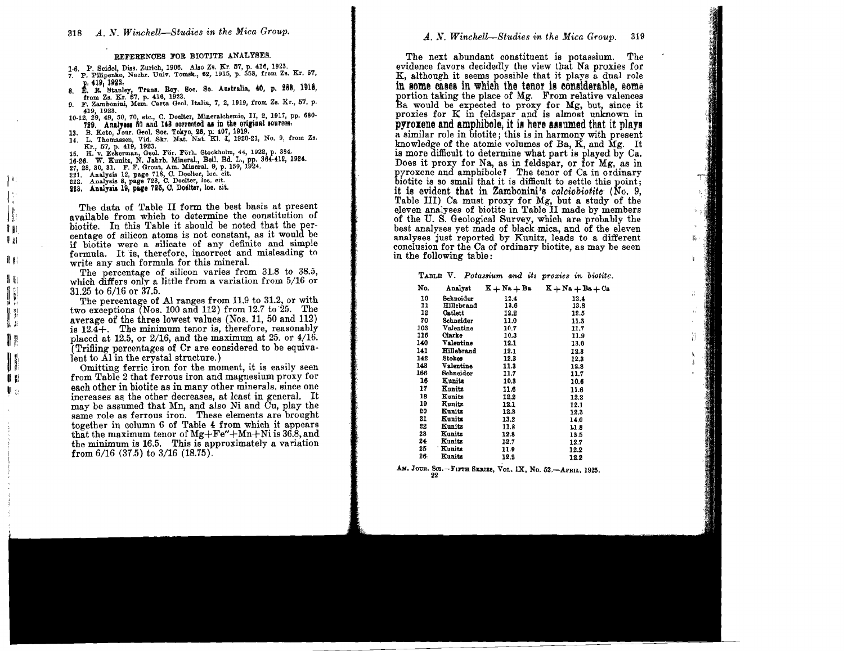#### REFERENCES FOR BIOTITE ANALYSES.

- 1.6. P. Seidel, Diss. Zurich, 1906. Also Zs. Kr. 57, p. 416, 1923.
- 7. P. Pilipenko, Nachr. Univ. Tomsk., 62, 1915, p. 553, from Zs. Kr. 57,
- p. 419, 1923,<br>E. R. Stanley, Trans. Roy. Soc. So. Australia, 40, p. 268, 1916,<br>from Zs. Kr. 57, p. 416, 1923.
- 9. F. Zambonini, Mem. Carta Geol. Italia, 7, 2, 1919, from Zs. Kr., 57, p. 419, 1923.
- 10-12, 29, 49, 50, 70, etc., C. Doelter, Mineralchemie, II, 2, 1917, pp. 680-729. Analyses 50 and 148 corrected as in the original sources.
- 13. B. Koto, Jour. Geol. Soc. Tokyo, 26, p. 407, 1919. 13. B. Koto, Jour. Ceol. Soc. Toxyo, 28, p. 407, 1919.<br>14. I., Thomassen, Vid. Skr. Mat. Nat. Kl. I, 1920-21, No. 9, from Zs.<br>15. H. v. Eckerman, Geol. För. Förh. Stockholm, 44, 1922, p. 384.<br>16-26. W. Eckerman, Geol. För.
- 
- 
- 

- 27, 28, 30, 31. F. F. Group, Am. when al. e, p. 1<br>221. Analysis 12, page 718, C. Doelter, loc. cit.<br>222. Analysis 8, page 723, C. Doelter, loc. cit.<br>223. Analysis 19, page 725, C. Doelter, loc. cit.
- 

 $\parallel$ 

 $\parallel$   $\parallel$ 

非則

il al

 $\mathbb{R}$ 

N, J.

11

 $\mathbf{R}$ 

II KI

 $\mathbf{u}_k$ 

The data of Table II form the best basis at present available from which to determine the constitution of hiotite. In this Table it should be noted that the percentage of silicon atoms is not constant, as it would be if biotite were a silicate of any definite and simple formula. It is, therefore, incorrect and misleading to write any such formula for this mineral.

The percentage of silicon varies from 31.8 to 38.5, which differs only a little from a variation from 5/16 or 31.25 to 6/16 or 37.5.

The percentage of Al ranges from 11.9 to 31.2, or with two exceptions  $Nos. 100$  and 112) from 12.7 to 25. The average of the three lowest values (Nos. 11, 50 and 112) is  $12.4+$ . The minimum tenor is, therefore, reasonably placed at 12.5, or 2/16, and the maximum at 25. or  $4/16$ . (Trifling percentages of Cr are considered to be equiva- $\tilde{f}$  and to  $\tilde{A}$  in the crystal structure.)

Omitting ferric iron for the moment, it is easily seen from Table 2 that ferrous iron and magnesium proxy for each other in biotite as in many other minerals, since one increases as the other decreases, at least in general. It may be assumed that Mn. and also Ni and Cu. play the same role as ferrous iron. These elements are brought together in column 6 of Table 4 from which it appears that the maximum tenor of  $Mg + Fe'' + Mn + Ni$  is 36.8, and the minimum is 16.5. This is approximately a variation from  $6/16$  (37.5) to  $3/16$  (18.75).

The next abundant constituent is potassium. The evidence favors decidedly the view that Na proxies for K, although it seems possible that it plays a dual role in some cases in which the tenor is considerable, some portion taking the place of Mg. From relative valences Ba would be expected to proxy for Mg, but, since it proxies for K in feldspar and is almost unknown in **pyroxene and amphibole, it is here assumed that it plays** a similar role in biotite: this is in harmony with present knowledge of the atomic volumes of Ba, K, and Mg. It is more difficult to determine what part is played by Ca. Does it proxy for Na, as in feldspar, or for Mg, as in pyroxene and amphibole? The tenor of Ca in ordinary biotite is so small that it is difficult to settle this point; it is evident that in Zambonini's calciobiotite (No. 9. Table III) Ca must proxy for Mg, but a study of the eleven analyses of biotite in Table II made by members of the U.S. Geological Survey, which are probably the best analyses vet made of black mica, and of the eleven analyses just reported by Kunitz, leads to a different conclusion for the Ca of ordinary biotite, as may be seen in the following table:

TABLE V. Potassium and its proxies in biotite.

| No. | Analyst    | $K + Na + Ba$ | $K + Na + Ba + Ca$ |
|-----|------------|---------------|--------------------|
| 10  | Schneider  | 12.4          | 12.4               |
| 11  | Hillebrand | 13.6          | 13.8               |
| 12  | Catlett    | 12.2          | 12.5               |
| 70  | Schneider  | 11.0          | 11.3               |
| 103 | Valentine  | 10.7          | 11.7               |
| 116 | Clarke     | 10.3          | 11.9               |
| 140 | Valentine  | 12.1          | 13.0               |
| 141 | Hillebrand | 12.1          | 12.3               |
| 142 | Stokes     | 12.3          | 12.3               |
| 143 | Valentine  | 11.3          | 12.8               |
| 166 | Schneider  | 11.7          | 11.7               |
| 16  | Kunits     | 10.3          | 10.6               |
| 17  | Kunitz     | 11.6          | 11.6               |
| 18  | Kunitz     | 12.2          | 12.2               |
| 19  | Kunitz     | 12.1          | 12.1               |
| 20  | Kunitz     | 12.3          | 12.3               |
| 21  | Kunitz     | 13.2          | 14.0               |
| 22  | Kunitz     | 11.8          | 11.8               |
| 23  | Kunitz     | 12.8          | 13.5               |
| 24  | Kunits     | 12.7          | 12.7               |
| 25  | Kunitz     | 11.9          | 12.2               |
| 26. | Kunite     | 199           | <b>100</b>         |

AM. JOUR. SCI. - FIFTH SERIES, VOL. IX, No. 52. - APRIL, 1925.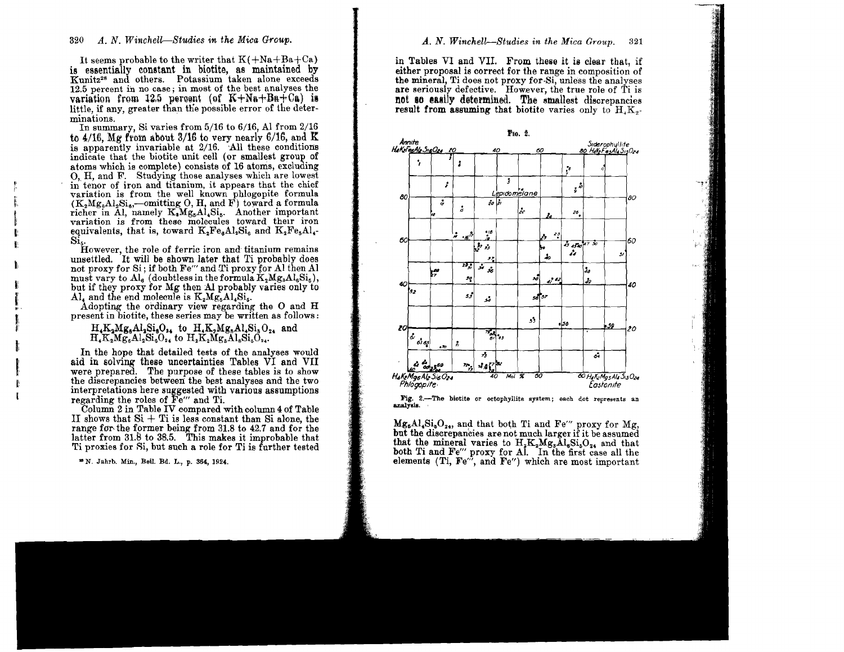It seems probable to the writer that  $K(+Na+Ba+Ca)$ is essentially constant in biotite, as maintained by Kunitz<sup>28</sup> and others. Potassium taken alone exceeds 12.5 percent in no case; in most of the best analyses the variation from 12.5 percent (of  $K+Na+Ba+Ca$ ) is little, if any, greater than the possible error of the determinations.

In summary, Si varies from  $5/16$  to  $6/16$ , Al from  $2/16$ to  $4/16$ . Mg from about 3/16 to very nearly 6/16, and K is apparently invariable at 2/16. All these conditions indicate that the biotite unit cell (or smallest group of atoms which is complete) consists of 16 atoms, excluding O. H. and F. Studying those analyses which are lowest in tenor of iron and titanium, it appears that the chief variation is from the well known phlogopite formula  $(K_2Mg_AA_2Si_B$ —omitting O, H, and F) toward a formula richer in Al, namely K, Mg<sub>s</sub>Al, Si<sub>s</sub>. Another important<br>variation is from these molecules toward their iron equivalents, that is, toward  $K_2Fe_6Al_2Si_6$  and  $K_2Fe_5Al_4$ -

Si<sub>s</sub>.<br>However, the role of ferric iron and titanium remains<br>the charm later that Ti probably does not proxy for Si; if both Fe'' and Ti proxy for Al then Al must vary to  $\text{Al}_6$  (doubtless in the formula  $K_2Mg_3\text{Al}_6\text{Si}_5$ ), but if they proxy for Mg then Al probably varies only to Al, and the end molecule is  $K_2Mg_0Al_4Si_5$ .

Adopting the ordinary view regarding the O and H present in biotite, these series may be written as follows:

 $H_4K_2Mg_6Al_3Si_6O_{24}$  to  $H_4K_2Mg_6Al_3Si_6O_{24}$  and  $H_4K_2Mg_6Al_2Si_6O_{24}$  to  $H_2K_2Mg_6Al_8Si_6O_{24}$ .

In the hope that detailed tests of the analyses would aid in solving these uncertainties Tables VI and VII were prepared. The purpose of these tables is to show the discrepancies between the best analyses and the two interpretations here suggested with various assumptions regarding the roles of Fe" and Ti.

Column 2 in Table IV compared with column 4 of Table II shows that  $Si + Ti$  is less constant than Si alone, the range for the former being from 31.8 to 42.7 and for the latter from 31.8 to 38.5. This makes it improbable that Ti proxies for Si, but such a role for Ti is further tested

\* N. Jahrb. Min., Beil. Bd. L., p. 364, 1924.

#### A. N. Winchell-Studies in the Mica Group. 321

in Tables VI and VII. From these it is clear that, if either proposal is correct for the range in composition of the mineral. Ti does not proxy for Si, unless the analyses are seriously defective. However, the true role of Ti is not so easily determined. The smallest discrepancies result from assuming that biotite varies only to  $H_{1}K_{2}$ .



Fig. 2.-The biotite or octophyllite system; each dot represents an analysis.

 $Mg_6Al_4Si_6O_{24}$ , and that both Ti and Fe'" proxy for Mg, but the discrepancies are not much larger if it be assumed that the mineral varies to  $H_2K_2Mg_3Al_6Si_6O_{24}$  and that both Ti and Fe'' proxy for Al. In the first case all the elements (Ti, Fe'', and Fe'') which are most important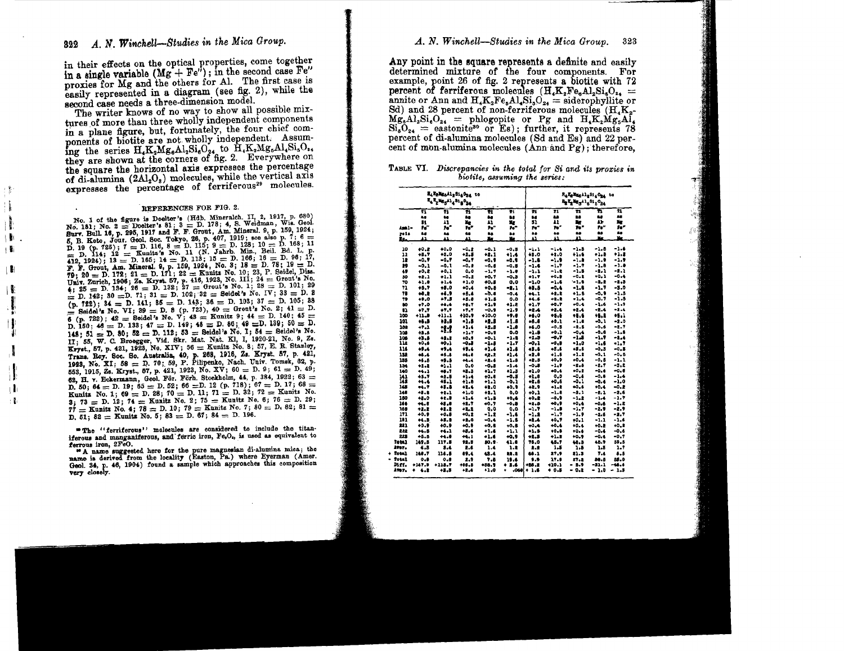in their effects on the optical properties, come together in a single variable  $(Mg + Fe^{i})$ ; in the second case Fe" proxies for Mg and the others for Al. The first case is easily represented in a diagram (see fig. 2), while the second case needs a three-dimension model.

The writer knows of no way to show all possible mixtures of more than three wholly independent components in a plane figure, but, fortunately, the four chief components of biotite are not wholly independent. Assuming the series H.K.Mg.Al.Si.O.4 to H.K.Mg.Al.Si.O.4 they are shown at the corners of fig. 2. Everywhere on the square the horizontal axis expresses the percentage of di-alumina (2Al<sub>2</sub>O<sub>s</sub>) molecules, while the vertical axis expresses the percentage of ferriferous<sup>29</sup> molecules.

#### REFERENCES FOR FIG. 2.

j

I

∣₿ i Bi

∣₿

١ŧ

۱,

Ţ.

: 16

No. 1 of the figure is Doelter's (Hdb. Mineralch. II, 2, 1917, p. 680) No. 181; No. 2 = Doelter's 81; 3 = D. 178; 4, 8. Weidman, Wis. Geol. Surv. Bull. 16, p. 295, 1917 and F. F. Grout, Am. Mineral. 9, p. 159, 1924; purv. But  $x_0$ , p. 279, 1911 and  $x_1$ ,  $x_2$ , with  $x_3$ ,  $y_1$ ,  $y_2$ ,  $y_3$ ,  $y_4$ ,  $y_5$ ,  $y_6$ ,  $y_7$ ,  $y_8$ ,  $y_9$ ,  $y_7$ ,  $y_8$ ,  $y_9$ ,  $y_7$ ,  $y_8$ ,  $y_9$ ,  $y_7$ ,  $y_8$ ,  $y_9$ ,  $y_7$ ,  $y_8$ ,  $y_9$ ,  $y_7$ ,  $y_8$ , **F. F. Grout, Am. Mineral, 9, p. 159, 1924, No. 3; 18 = D. 78; 19 = D.**<br>**79; 20 = D. 172; 21 = D. 171; 22 = Kunits No.** 10; 23, P. Seidel, Diss. (Fig. 20 = D. 1396; Zz. Kryst. 57, p. 416, 1923, No. III; 24 = Grout's No.<br>
(hin, 26 = D. 134; 26 = D. 132; 27 = Grout's No. 11; 24 = Grout's No.<br>  $\neq 12$  = D. 134; 26 = D. 132; 27 = Grout's No. 17; 28 = D. 101; 29<br>  $\neq$  $(p. 722); 34 = D. 141; 85 = D. 143; 36 = D. 103; 37 = D. 105; 38$  $\sum$  Seidel's No. VI; 39 = D. 8 (p. 723), 40 = Grout's No. 2; 41 = D. 6 (p. 722); 42 = Seidel's No.  $V_i$ , 43 = Kunitz 9; 44 = D. 140; 45 = D. 150; 44 = D. 133; 47 = D. 149; 46 = D. 86; 49 = D. 139; 50 = D. 148; 51 = D. 80; 52 = D. 112; 53 = Seidel's No. I; 54 = Seidel's No. II; 55, W. C. Broegger, Vid. Skr. Mat. Nat. Kl, I, 1920-21, No. 9, Zs. Kryst., 57, p. 421, 1923, No. XIV; 56 = Kunitz No. 8; 57, E. R. Stanley, Trans. Roy. Soc. So. Australia, 40, p. 263, 1916, Zs. Kryst. 57, p. 421, 1923, No. XI; 58 = D. 70; 59, P. Pilipenko, Nach. Univ. Tomsk, 62, p. 553, 1915, Zs. Kryst., 57, p. 421, 1923, No. XV; 60 = D. 9; 61 = D. 49; 62, H. v. Eckermann, Geol. För. Förh. Stockholm, 44, p. 384, 1922; 63 = D. 50; 64 = D. 19; 65 = D. 52; 66 = D. 12 (p. 718); 67 = D. 17; 68 = Kunitz No. 1; 69 = D. 28; 70 = D. 11; 71 = D. 32; 72 = Kunitz No. 3; 73 = D. 12; 74 = Kunitz No. 2; 75 = Kunitz No. 6; 76 = D. 29;  $77 =$  Kunitz No. 4; 78 = D. 10; 79 = Kunitz No. 7; 80 = D. 82; 81 = D. 51; 82 = Kunits No. 5; 83 = D. 67; 84 = D. 196.

"The "ferriferous" molecules are considered to include the titaniferous and manganiferous, and ferric iron, Fe,O<sub>s</sub>, is used as equivalent to ferrous iron, 2FeO.

"A name suggested here for the pure magnesian di-alumina mica; the name is derived from the locality (Easton, Pa.) where Eyerman (Amer. Geol. 34, p. 46, 1904) found a sample which approaches this composition very closely.

Any point in the square represents a definite and easily determined mixture of the four components. For example, point 26 of fig. 2 represents a biotite with 72 percent of ferriferous molecules  $(H_{\alpha}K_{\alpha}Fe_{\alpha}Al_{\alpha}Si_{\alpha}O_{\alpha}$ annite or Ann and  $H_{4}K_{2}Fe_{5}Al_{4}Si_{5}O_{24} =$  siderophyllite or Sd) and 28 percent of non-ferriferous molecules  $(H_1K_2)$  $Mg_8Al_2Si_6O_{24}$  = phlogopite or Pg and  $H_4K_2Mg_5Al_4$ <br> $Si_6O_{24}$  = eastonite<sup>30</sup> or Es); further, it represents 78 percent of di-alumina molecules (Sd and Es) and 22 percent of mon-alumina molecules (Ann and Pg): therefore.

| TABLE VI. Discrepancies in the total for Si and its proxies in |  |
|----------------------------------------------------------------|--|
| biotite, assuming the series:                                  |  |

|          |               | E4 KgMgsil 2316024 10<br>T4 T2 ME 114 31 6 0 24 |               | Release 11, Sta Ope<br>ta<br>E <sub>2</sub> I_Me <sub>3</sub> 41 <sub>6</sub> 31 <sub>5</sub> 0 <sub>24</sub> |               |               |                |               |               |                |
|----------|---------------|-------------------------------------------------|---------------|---------------------------------------------------------------------------------------------------------------|---------------|---------------|----------------|---------------|---------------|----------------|
|          | π<br>As<br>81 | Ħ<br>26<br>11                                   | π<br>65<br>x, | Ħ<br>t.<br>A1                                                                                                 | π<br>68<br>Zg | н<br>88<br>31 | 71<br>88<br>41 | Ħ<br>18<br>n, | Ħ<br>t.<br>43 | 71<br>88<br>Ng |
| -1:48    | Гď            | 'n.                                             | 759           | " و                                                                                                           | ñ.            | r.            | $\mathbf{r}$   | n*            | re"           | fo*            |
| 222      | 46            | 86                                              | 48            | 25<br>z.                                                                                                      | ð.<br>¥.      | Ł.<br>41      | ۵ä<br>ш        | à.<br>41      | à8<br>Кe      | S.<br>Me       |
| Ic.      | 41            | 41                                              | 41            |                                                                                                               |               |               |                |               |               |                |
| 10       | $+0.2$        | 40.0                                            | $-0.2$        | $-0.1$                                                                                                        | $-0.8$        | $-1.1$        | $-1.4$         | $-1.5$        | $-1.5$        | $-1.6$         |
| 22       | +5.7          | +3.0                                            | $+2.8$        | $+2.1$                                                                                                        | +1.4          | 48.0          | $+1.0$         | $+1.6$        | e1.B          | $+1.2$         |
| 12       | -0,7          | $-0.7$                                          | $-0.7$        | -0.9                                                                                                          | $-0.9$        | $-1.8$        | $-1.9$         | $-1.8$        | $-1.9$        | $-1.7$         |
| 29       | $-0.1$        | $-0.1$                                          | -0.2          | -0.5                                                                                                          | -0.5          | $-1.6$        | $-1.7$         | $-1 - 7$      | $-1.0$        | -1.0           |
| 49       | $+0, 2$       | $+0.1$                                          | 0.0           | $-1.7$                                                                                                        | $-1.0$        | $-1.1$        | $-1.2$         | $-1.5$        | $-2.1$        | -2.1           |
| 50       | $+2,1$        | $+1.1$                                          | $-0.2$        | $+0,7$                                                                                                        | -0.3          | $+1.7$        | $+0.3$         | $-0.2$        | $+0.1$        | -0.4           |
| 70       | $+1.0$        | +1.4                                            | $+1.0$        | 40.5                                                                                                          | 0.0           | $-1.0$        | -1.6           | $-1.8$        | -2.2          | -8.5           |
| 71       | $+5.7$        | $+5.0$                                          | $+0.4$        | $+0.5$                                                                                                        | -1.1          | 45.5          | $-0.4$         | $-1.8$        | -1.7          | -3.0           |
| 78       | $+0.2$        | $+6.9$                                          | $+5.4$        | $-0.4$                                                                                                        | $-0.4$        | 44.1          | $+2.3$         | $+1.5$        | -0.9          | -1.5           |
| 79       | 49.0          | $+7.5$                                          | $+5.8$        | $+1.5$                                                                                                        | 0.0           | $+4.6$        | +2.2           | $-1.4$        | -0.7          | -1.5           |
| 80       | $+7.0$        | $+6.4$                                          | +0.7          | +1.9                                                                                                          | $+1.8$        | $+1.7$        | $+0.7$         | $+0.4$        | $-1.6$        | -1.9           |
| 81       | $+7.7$        | ٠٧,٧                                            | $+7.7$        | -0.9                                                                                                          | -1.9          | +2.4          | $+2.4$         | $+2.4$        | $-2.4$        | $-2.4$         |
| 100      | $+11.5$       | $+11.1$                                         | $+10.9$       | $+10.0$                                                                                                       | $^{+9.8}$     | -6.0          | +5.6           | 1.6           | 45.2          | $+5.1$         |
| 101      | 11.3          | 12.5                                            | -1.8          | -1.5                                                                                                          | -1.8          | +6.4          | +0.1           | $-1.0$        | $-0.1$        | $-2.0$         |
| 102      | +7.1          |                                                 | $+1.4$        | $+2.8$                                                                                                        | $-1.0$        | +6.0          | $-0.3$         | $-2.5$        | $-0.6$        | -2.7           |
| 109      | $+1.8$        | #1                                              | $+1.7$        | +0.9                                                                                                          | 0.0           | +1.5          | 0.1            | $-0.4$        | $-0.8$        | $-1.8$         |
| 106      | 48.8          | $+1.1$                                          | +0.9          | $+0.1$                                                                                                        | $-1.1$        | +1.5          | -0.7           | -1.5          | -1.7          | -1.4           |
| īū       | $+0.6$        | 40.1                                            | -0.1          | -1.5                                                                                                          | $-1.7$        | $-0.1$        | -9,8           | $-1.0$        | $-1.6$        | -1.7           |
| 116      | +1.4          | +9,4                                            | $+1.4$        | $+1.4$                                                                                                        | $+1.8$        | 43.6          | $+3.6$         | $+3.5$        | -0.3          | $-0.5$         |
| 158      | 44.4          | +5.6                                            | 14.0          | 42.2                                                                                                          | $+1.4$        | -2.8          | $+1.6$         | $+1.2$        | $-0.1$        | -0.5           |
| 131      | $+1.5$        | +5.5                                            | 44.4          | +8-6                                                                                                          | $+1.5$        | 42.5          | $+0.9$         | $+0.4$        | $-0.8$        | $-1.1$         |
| 154      | $+1.1$        | $+1.1$                                          | 0.0           | -0.8                                                                                                          | -1.4          | ی د-          | -1,1           | $-2.5$        | $-2.7$        | $-3.2$         |
| 140      | +4.1          | 45.1                                            | 43.3          | $+1.7$                                                                                                        | $+1.3$        | $+1.0$        | 40.4           | $+0.2$        | -0.6          | -0.0           |
| 141      | 45.7          | +1.5                                            | $+1.4$        | $+0.8$                                                                                                        | -0.5          | $+1.0$        | 0.0            | $-0.4$        | $-0.5$        | -1.4           |
| 142      | $+1.4$        | 45.1                                            | $+1.8$        | +1.1                                                                                                          | -0.1          | +2.6          | $+0.6$         | $-0.1$        | $-0.4$        | -1.0           |
| 145      | <b>+4.7</b>   | $+1.5$                                          | +1.4          | $+1.0$                                                                                                        | +0.9          | +1,9          | +1,8           | $+0.6$        | 10.4          | $-0.2$         |
| 144      | $+5.2$        | +2.1                                            | $+1.0$        | +2.1                                                                                                          | 0.0           | 40.1          | $-1.8$         | $-2.1$        | -1.1          | -2.6           |
| 160      | 48.0          | +1.3                                            | $+1.6$        | $+1.5$                                                                                                        | $+0.6$        | +0.2          | $-0.9$         | $-1.2$        | $-1.4$        | $-1.7$         |
| 166      | $+4.8$        | $+3.0$                                          | $+2.7$        | $+0.7$                                                                                                        | $-0.8$        | +2.5          | 40.9           | $+0.4$        | $-0.6$        | $-1.5$         |
| 160      | -2.2          | $+1.2$                                          | +1.2          | ٥.٥                                                                                                           | 0.0           | -1.7          | -1.8           | $-1.7$        | $-2.9$        | $-2.9$         |
| 171      | 40.9          | +0.5                                            | $+0.2$        | -1.2                                                                                                          | -1.6          | -1.2          | $-1.7$         | -1.9          | -2.6          | -2.7           |
| 101      | +4.3          | $+1.1$                                          | $+1.0$        | $-0.4$                                                                                                        | -1.8          | +2.4          | $+0.7$         | $+0.1$        | $-1.1$        | $-1.6$         |
| 221      | $+0.9$        | 40.9                                            | $+0.9$        | $+0,6$                                                                                                        | +0.5          | $+0.4$        | $+0.4$         | $+0.4$        | $+0.2$        | $+0.2$         |
| 222      | 14.5          | <b>+4.1</b>                                     | $+3.6$        | $+1.6$                                                                                                        | $-1.1$        | 41.5          | +0.0           | $+0.6$        | -0.4          | -0.6           |
| 223      | +5.5          | +4.8                                            | $+1.1$        | +1.6                                                                                                          | +0.9          | +2.5          | +1.2           | $+0.9$        | $-0.4$        | -0.7           |
| Total    | 149.5         | 117.5                                           | 92.8          | 50.9.                                                                                                         | 41.0          | 78.0          | 45.7           | 40.D          | 45.9          | 59.5           |
| Aver.    | 4.8           | 5.4                                             | 2.6           | 1.4                                                                                                           | 1.2           | 2.2           | 1.5            | 1.5           | 1.5           | 1.1            |
| $+ 1001$ | 148.7         | 116.6                                           | 19.4          | 45.4                                                                                                          | 22.2          | 68.1          | 27.9           | 21.3          | 7.4           | 5.5            |
| $-5014$  | 0.6           | 0.8                                             | 2.9           | 7.6                                                                                                           | 19.6          | 9.4           | 17.8           | 27.2          | 38.5          | 58.0           |
| Mff.     | +147.9        | +118.7                                          | +86.5         | +56.9                                                                                                         | + 2.6         | +58.2         | $+10.1$        | - 5.9         | $-33.1$       | $-16.6$        |
| $h = -$  |               |                                                 | . .           | . .                                                                                                           |               |               | . .            | . .           | . .           | . .            |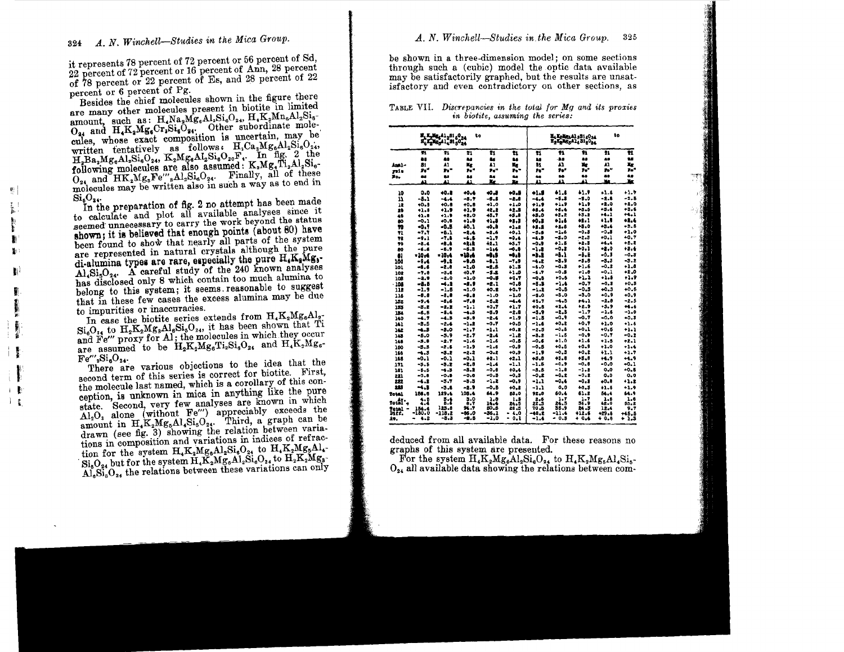it represents 78 percent of 72 percent or 56 percent of Sd, 22 percent of 72 percent or 16 percent of Ann, 28 percent of 78 percent or 22 percent of Es, and 28 percent of 22 percent or 6 percent of Pg.

Besides the chief molecules shown in the figure there are many other molecules present in biotite in limited amount, such as: H.Na, Mg, Al, Si, H.K. Mn, Al, Si, O, and H.K. Mg, Cr, Si, O, other subordinate molecules, whose exact composition is uncertain, may be written tentatively as follows. H.Ca2Mg6Al2Si6O24, H.Ba,Mg.dl,Si.O., K,Mg.dl,Si.O.,F., In fig. 2 the following molecules are also assumed: K,Mg.Ti,Al,Si. O<sub>24</sub> and HK<sub>2</sub>Mg<sub>s</sub>Fe<sup>*m*</sup><sub>3</sub>Al<sub>2</sub>Si<sub>6</sub>O<sub>24</sub>. Finally, all of these molecules may be written also in such a way as to end in  $\mathrm{Si}_5\mathrm{O}_{24}$ 

In the preparation of fig. 2 no attempt has been made to calculate and plot all available analyses since it seemed unnecessary to carry the work beyond the status shown; it is believed that enough points (about 80) have been found to show that nearly all parts of the system are represented in natural crystals although the pure di-alumina types are rare, especially the pure H.K, Mg,-Al, Si<sub>2</sub>O<sub>24</sub>. A careful study of the 240 known analyses has disclosed only 8 which contain too much alumina to belong to this system; it seems reasonable to suggest that in these few cases the excess alumina may be due to impurities or inaccuracies.

In case the biotite series extends from H.K<sub>2</sub>Mg<sub>a</sub>Al<sub>2</sub>-Si<sub>e</sub>O<sub>24</sub> to H<sub>2</sub>K<sub>2</sub>Mg<sub>8</sub>Al<sub>6</sub>Si<sub>5</sub>O<sub>24</sub>, it has been shown that Ti and Fe" proxy for Al; the molecules in which they occur are assumed to be  $H_2K_2Mg_6Ti_2Si_6O_{24}$  and  $H_4K_2Mg_6$ - $Fe'''_{2}Si_{n}O_{24}$ 

There are various objections to the idea that the second term of this series is correct for biotite. First, the molecule last named, which is a corollary of this conception, is unknown in mica in anything like the pure state. Second, very few analyses are known in which  $\widehat{A1_2O_3}$  alone (without Fe") appreciably exceeds the amount in H<sub>4</sub>K<sub>2</sub>Mg<sub>6</sub>Al<sub>4</sub>Si<sub>6</sub>O<sub>24</sub>. Third, a graph can be drawn (see fig. 3) showing the relation between variations in composition and variations in indices of refraction for the system H<sub>4</sub>K<sub>2</sub>Mg<sub>6</sub>Al<sub>2</sub>Si<sub>6</sub>O<sub>24</sub> to H<sub>4</sub>K<sub>2</sub>Mg<sub>5</sub>Al<sub>4</sub>- $\widetilde{\mathrm{Si}_5\mathrm{O}_{24}}$  but for the system  $\mathrm{H}_4\mathrm{K}_2\mathrm{Mg}_6\mathrm{Al}_2\mathrm{Si}_6\mathrm{O}_{24}$  to  $\mathrm{H}_2\mathrm{K}_2\mathrm{Mg}_3$ - $\widetilde{Al}_6S_{16}^*O_{24}$  the relations between these variations can only be shown in a three-dimension model; on some sections through such a (cubic) model the optic data available may be satisfactorily graphed, but the results are unsatisfactory and even contradictory on other sections, as

### TABLE VII. Discrepancies in the total for Mg and its proxies in biotite, assuming the series:

|            |          | H, K, Mg, A1, 251 60 24 | to          |               | <b>He Kelley Al 281 2024</b><br>X21216316316024 | ta           |              |              |              |             |
|------------|----------|-------------------------|-------------|---------------|-------------------------------------------------|--------------|--------------|--------------|--------------|-------------|
|            | Ŧ1       | 71                      | 21          | Ħ             | Ħ                                               | Ħ            | 41           | Ħ            | 71           | ū           |
|            | à.       | 88                      | 58          | â.            | B.S                                             | 88           | -ás          | ã.           | 68           | 26          |
| - اهط      | 81       | AI                      | Мg          | 41            | ×.                                              | 81           | Al           | Жc           | 41           | Xх          |
| yni a      | Że"      | n"                      | h.          | Pe"           |                                                 | h."          | 90°          | To"          | n.           | 75*         |
| ۳o.        | 84       | B.                      | 88          | as.           | 46                                              | 46           | 68           | 88           | 88           | 69          |
|            | u        | 43                      | ш           | Xe            | ī,                                              | ц            | 43           | Ω            | X.           | P.          |
| 10         | 0.0      | 40.8                    | 40.6        | -0,8          | -0.5                                            | $+1.1$       | 61.1         | 41.9         | 41.6         | $+1.7$      |
| 11         | -8.1     | $-4.4$                  | -3.7        | -5.5          | $-2.8$                                          | $-1.4$       | $-5.5$       | $-8.0$       | $-2.8$       | $-2.5$      |
| 12         | +0.0     | 40.5                    | $+0.8$      | $+1.0$        | $+1.0$                                          | $+1.2$       | $+1.9$       | +1.9         | -2.0         | $+1.0$      |
| 29         | +1.6     | +1.9                    | +1.9        | 42.2          | +2.3                                            | $+5.4$       | $+5.4$       | $+5.5$       | $+3.8$       | $+3.6$      |
| 49         | $+1.8$   | $+1.9$                  | +2.0        | 48.7          | +3.8                                            | 43.0         | $+5.2$       | $+3.2$       | $+4.1$       | +4.1        |
| ã0         | -0.1     | $+0.8$                  | +1.0        | $+1.5$        | $+1.1$                                          | +0.8         | +1.6         | 48.1         | ۰. .         | +1.4        |
| 70         | -0.1     | -0.5                    | 40.1        | 40.B          | +1.2                                            | $+2.3$       | $+1.6$       | +5.0         | $+2.4$       | -9.5        |
| 71         | $-7.1$   | -6.1                    | $-2.4$      | -1.6          | +0.1                                            | -5.6         | $-1.6$       | $-0.3$       | -0.8         | $-1.0$      |
| TC.        | -9.1     | $-7.1$                  | $-4.5$      | $-1.7$        | $-0.4$                                          | -4.9         | $-3.0$       | -2.3         | +0.1         | +0.7        |
| 79         | -5.4     | -8.4                    | -2:1        | 41.1          | +5.7                                            | $-0.9$       | $+1.5$       | $-2.3$       | $+1.1$       | $+5.2$      |
| 80         | $-6.8$   | $-5.9$                  | -6.3        | -1:4          | -0.8                                            | -1.2         | -0.2         | $+0.1$       | -1.0         | +2.4        |
| 81         | $-10$ of | $-10.4$                 | -18.4       | -9.5          | =8. S                                           | -1.1         | -8.1         | -1.1         | -6.3         | $-0.5$      |
| 160        | $-9.4$   | $-9.2$                  | -9.0        | -1.1          | -7.9                                            | -4.2         | -3.9         | $-3.3$       | -3.3         | $-3.2$      |
| 101        | $-6.6$   | -2.0                    | $-1.0$      | -2.8          | $+1.3$                                          | $-6.0$       | -0.3         | $+1.6$       | $-0.2$       | $+1.8$      |
| 102        | -7.0     | $-5.6$                  | 40.7        | -3.1          | +1.0                                            | $-6.7$       | $-0.3$       | 72.0         | -0.1         | $+2.0$      |
| 108        | -2.9     | -2.0                    | $-1.0$      | -0.8          | 40.7                                            | $-0.5$       | $+0.6$       | +1.1         | $+1.5$       | 1.9         |
| .108       | -8.5     | -4.2                    | -8.9        | -8.1          | $-0.8$                                          | -8.1         | -1.4         | -0.7         | $-0.3$       | $+0.5$      |
| 118        | -1.9     | -1.5                    | $-1.0$      | 40.2          | $+0.7$                                          | $-1.1$       | -0.8         | $-0.5$       | $+0.3$       | $+0.5$      |
| 116        | -9.8     | -8.8                    | $-0.8$      | -1.0          | -1.0                                            | $-8.0$       | $-3.0$       | $-3.0$       | $+0.9$       | $+0.9$      |
| 152        | -9.4     | -8.6                    | -7.8        | $-6.2$        | $-4.4$                                          | $+5.7$       | -4.5         | $+1.1$       | -2.8         | -2.5        |
| 185        | $-3.2$   | $-2.2$                  | $-1.1$      | $+0.7$        | +1.7                                            | 40.8         | -2.4         | $+2.9$       | $+5.9$       | $+4.4$      |
| 184        | -6.5     | -5.4                    | $-1.5$      | -3.9          | -2.8                                            | -3.9         | -2,3         | -1.7         | -1.6         | $-1.0$      |
| 140        | -4.7     | -4.3                    | $-5.9$      | -2.4          | -1.9                                            | -1.5         | -0,9         | -0.7         | -0.0         | $+0.3$      |
| 141        | $-3.5$   | -2.4                    | $-1.2$      | -0.7          | $+0.5$                                          | -1.6         | 40.Z         | $+0.7$       | +1.0         | $+1.5$      |
| 142        | -4.3     | -3.0                    | $-1 - 7$    | -1.1          | +0.2                                            | -2.5         | $-0.5$       | $+0.1$       | $+0.5$       | $+1.1$      |
| 148        | -6.0     | -5.9                    | $-2.7$      | -2.4          | -1.2                                            | $-8.2$       | -1.5         | $-0.9$       | $-0.7$       | -0.2        |
| 148        | -3.8     | -2.7                    | $-1.6$      | -1.6          | -0.6                                            | $-0.6$       | $+1.0$       | $+1.6$       | $+1.5$       | $+2.1$      |
| 150        | -3.3     | $-2.6$                  | $-1.9$      | $-2.6$        | -0.9                                            | $-0.5$       | 40.5         | $+0.9$       | $+1.0$       | $+1.4$      |
| 166        | -4.5     | -3.2                    | $-2 - 2$    | -9.2          | $+0.9$                                          | -1.9         | $-0.3$       | +0.2         | +1.1         | -1.7        |
| 165        | $-0.1$   | -0.1                    | -0.1        | $+2 - 1$      | +2.1                                            | +8.8         | +3.0         | $+5.1$       | +4.9         | +1.9        |
| 171        | -3.8     | -5.2                    | $-2.5$      | -1.4          | $-1.1$                                          | $-1.5$       | -0.9         | $-0.8$       | -0.0         | $-0.1$      |
| 181        | $-5.5$   | -4.3                    | $-3.2$      | $-0.8$        | +0.4                                            | $-3.5$       | -1.0         | $-1.2$       | 0.0          | +0.5        |
| 221        | $-0.8$   | $-0.8$                  | -0.0        | -0.3          | $-0.3$                                          | $-0.2$       | -0.2         | $-0.2$       | 0.0          | 0.0         |
| 222        | -4.2     | -3.7                    | $-5.5$      | -1.2          | -0.9                                            | -1.1         | $-0.4$       | $-0.1$       | 40.8         | +1.2        |
| 223        | -4.5     | $-3.8$                  | -2.9        | $-0.5$        | $+0.1$                                          | $-1.1$       | 0.0          | $+0.3$       | $+1.5$       | $+1.9$      |
| Total      | 158.6    | 129.4                   | 105.4       | 64.9          | 55.0                                            | 92.8         | 60.4         | 61.2         | 54.4         | 54.9        |
| rotal .    | 1:1      | $\frac{5}{6}$           | 3.0         | 1.8           | 1.5                                             | 2.6          | 1.7          | 1.7          | 1.5          | 1.6         |
| Potal<br>٠ | 154.4    | 125.8                   | 8.7<br>94.7 | 14.4<br>60. S | 24.5<br>28.3                                    | 22.3<br>70.5 | 24.5<br>56.9 | 36.9<br>24.S | 42.0<br>12.4 | 55.2<br>9.7 |
| ntr.       | -180.0   | $-113.2$                | $-06.0$     | -36.1         | - 4.0                                           | -48.2        | -11.4        | +12.6        | +29.6        | $+45.5$     |
| 19.        | $4 - 2$  | -5.3                    | -8.5        | -1.0          | 0.1                                             | $-1.4$       | - 0.8        | $+ 0.4$      | $+ 0.8$      | $+1.3$      |

deduced from all available data. For these reasons no graphs of this system are presented.

For the system  $H_4K_2Mg_6Al_2Si_6O_{24}$  to  $H_4K_2Mg_6Al_4Si_5$ - $O_{24}$  all available data showing the relations between com-

 $\frac{1}{2}$